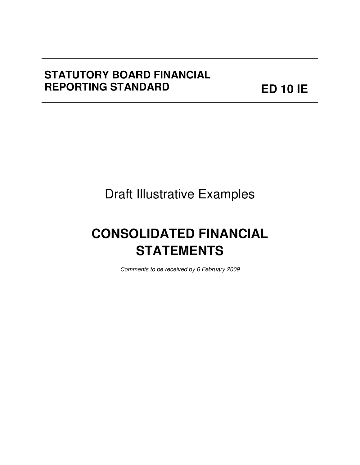# **STATUTORY BOARD FINANCIAL REPORTING STANDARD**

**ED 10 IE**

# Draft Illustrative Examples

**December 2008 Illustrative Examples** 

# **CONSOLIDATED FINANCIAL STATEMENTS**

Comments to be received by 6 February 2009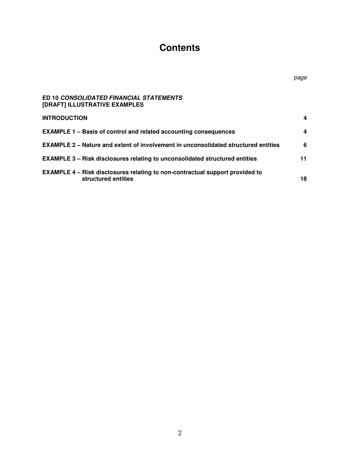# **Contents**

page

| ED 10 CONSOLIDATED FINANCIAL STATEMENTS<br>[DRAFT] ILLUSTRATIVE EXAMPLES                            |    |
|-----------------------------------------------------------------------------------------------------|----|
| <b>INTRODUCTION</b>                                                                                 | 4  |
| <b>EXAMPLE 1 – Basis of control and related accounting consequences</b>                             | 4  |
| EXAMPLE 2 - Nature and extent of involvement in unconsolidated structured entities                  | 6  |
| EXAMPLE 3 - Risk disclosures relating to unconsolidated structured entities                         | 11 |
| EXAMPLE 4 - Risk disclosures relating to non-contractual support provided to<br>structured entities | 18 |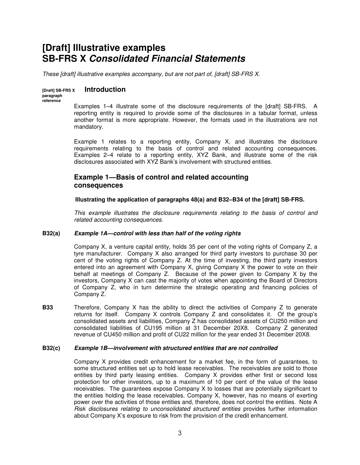## **[Draft] Illustrative examples SB-FRS X Consolidated Financial Statements**

These [draft] illustrative examples accompany, but are not part of, [draft] SB-FRS X.

#### **[Draft] SB-FRS X Introduction**

**paragraph reference** 

Examples 1–4 illustrate some of the disclosure requirements of the [draft] SB-FRS. A reporting entity is required to provide some of the disclosures in a tabular format, unless another format is more appropriate. However, the formats used in the illustrations are not mandatory.

Example 1 relates to a reporting entity, Company X, and illustrates the disclosure requirements relating to the basis of control and related accounting consequences. Examples 2–4 relate to a reporting entity, XYZ Bank, and illustrate some of the risk disclosures associated with XYZ Bank's involvement with structured entities.

## **Example 1—Basis of control and related accounting consequences**

**Illustrating the application of paragraphs 48(a) and B32–B34 of the [draft] SB-FRS.** 

This example illustrates the disclosure requirements relating to the basis of control and related accounting consequences.

#### **B32(a) Example 1A—control with less than half of the voting rights**

 Company X, a venture capital entity, holds 35 per cent of the voting rights of Company Z, a tyre manufacturer. Company X also arranged for third party investors to purchase 30 per cent of the voting rights of Company Z. At the time of investing, the third party investors entered into an agreement with Company X, giving Company X the power to vote on their behalf at meetings of Company Z. Because of the power given to Company X by the investors, Company X can cast the majority of votes when appointing the Board of Directors of Company Z, who in turn determine the strategic operating and financing policies of Company Z.

**B33** Therefore, Company X has the ability to direct the activities of Company Z to generate returns for itself. Company X controls Company Z and consolidates it. Of the group's consolidated assets and liabilities, Company Z has consolidated assets of CU250 million and consolidated liabilities of CU195 million at 31 December 20X8. Company Z generated revenue of CU450 million and profit of CU22 million for the year ended 31 December 20X8.

#### **B32(c) Example 1B—involvement with structured entities that are not controlled**

Company X provides credit enhancement for a market fee, in the form of guarantees, to some structured entities set up to hold lease receivables. The receivables are sold to those entities by third party leasing entities. Company X provides either first or second loss protection for other investors, up to a maximum of 10 per cent of the value of the lease receivables. The guarantees expose Company X to losses that are potentially significant to the entities holding the lease receivables. Company X, however, has no means of exerting power over the activities of those entities and, therefore, does not control the entities. Note A Risk disclosures relating to unconsolidated structured entities provides further information about Company X's exposure to risk from the provision of the credit enhancement.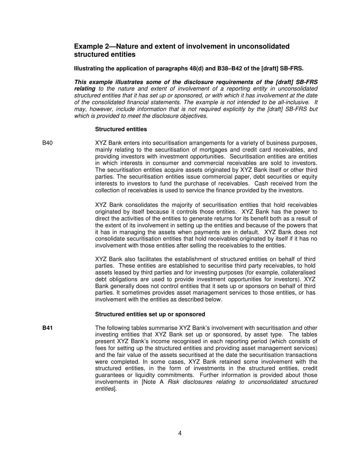### **Example 2—Nature and extent of involvement in unconsolidated structured entities**

**Illustrating the application of paragraphs 48(d) and B38–B42 of the [draft] SB-FRS.** 

**This example illustrates some of the disclosure requirements of the [draft] SB-FRS relating** to the nature and extent of involvement of a reporting entity in unconsolidated structured entities that it has set up or sponsored, or with which it has involvement at the date of the consolidated financial statements. The example is not intended to be all-inclusive. It may, however, include information that is not required explicitly by the [draft] SB-FRS but which is provided to meet the disclosure objectives.

#### **Structured entities**

B40 XYZ Bank enters into securitisation arrangements for a variety of business purposes, mainly relating to the securitisation of mortgages and credit card receivables, and providing investors with investment opportunities. Securitisation entities are entities in which interests in consumer and commercial receivables are sold to investors. The securitisation entities acquire assets originated by XYZ Bank itself or other third parties. The securitisation entities issue commercial paper, debt securities or equity interests to investors to fund the purchase of receivables. Cash received from the collection of receivables is used to service the finance provided by the investors.

> XYZ Bank consolidates the majority of securitisation entities that hold receivables originated by itself because it controls those entities. XYZ Bank has the power to direct the activities of the entities to generate returns for its benefit both as a result of the extent of its involvement in setting up the entities and because of the powers that it has in managing the assets when payments are in default. XYZ Bank does not consolidate securitisation entities that hold receivables originated by itself if it has no involvement with those entities after selling the receivables to the entities.

> XYZ Bank also facilitates the establishment of structured entities on behalf of third parties. These entities are established to securitise third party receivables, to hold assets leased by third parties and for investing purposes (for example, collateralised debt obligations are used to provide investment opportunities for investors). XYZ Bank generally does not control entities that it sets up or sponsors on behalf of third parties. It sometimes provides asset management services to those entities, or has involvement with the entities as described below.

#### **Structured entities set up or sponsored**

**B41** The following tables summarise XYZ Bank's involvement with securitisation and other investing entities that XYZ Bank set up or sponsored, by asset type. The tables present XYZ Bank's income recognised in each reporting period (which consists of fees for setting up the structured entities and providing asset management services) and the fair value of the assets securitised at the date the securitisation transactions were completed. In some cases, XYZ Bank retained some involvement with the structured entities, in the form of investments in the structured entities, credit guarantees or liquidity commitments. Further information is provided about those involvements in [Note A Risk disclosures relating to unconsolidated structured entities].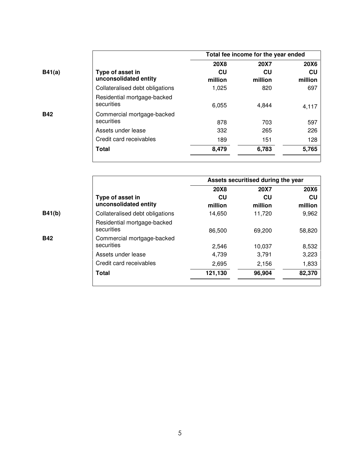|            |                                           | Total fee income for the year ended |             |             |
|------------|-------------------------------------------|-------------------------------------|-------------|-------------|
|            |                                           | <b>20X8</b>                         | <b>20X7</b> | <b>20X6</b> |
| B41(a)     | Type of asset in                          | CU                                  | CU          | CU          |
|            | unconsolidated entity                     | million                             | million     | million     |
|            | Collateralised debt obligations           | 1,025                               | 820         | 697         |
|            | Residential mortgage-backed<br>securities | 6,055                               | 4,844       | 4,117       |
| <b>B42</b> | Commercial mortgage-backed                |                                     |             |             |
|            | securities                                | 878                                 | 703         | 597         |
|            | Assets under lease                        | 332                                 | 265         | 226         |
|            | Credit card receivables                   | 189                                 | 151         | 128         |
|            | <b>Total</b>                              | 8,479                               | 6,783       | 5,765       |
|            |                                           |                                     |             |             |

|            |                                           |               | Assets securitised during the year |               |
|------------|-------------------------------------------|---------------|------------------------------------|---------------|
|            |                                           | <b>20X8</b>   | <b>20X7</b>                        | <b>20X6</b>   |
|            | Type of asset in<br>unconsolidated entity | CU<br>million | CU<br>million                      | CU<br>million |
| B41(b)     | Collateralised debt obligations           | 14,650        | 11,720                             | 9,962         |
|            | Residential mortgage-backed<br>securities | 86,500        | 69.200                             | 58,820        |
| <b>B42</b> | Commercial mortgage-backed<br>securities  | 2,546         | 10,037                             | 8,532         |
|            | Assets under lease                        | 4,739         | 3,791                              | 3,223         |
|            | Credit card receivables                   | 2,695         | 2,156                              | 1,833         |
|            | Total                                     | 121,130       | 96,904                             | 82,370        |
|            |                                           |               |                                    |               |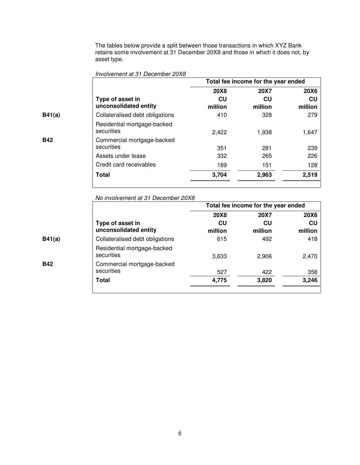The tables below provide a split between those transactions in which XYZ Bank retains some involvement at 31 December 20X8 and those in which it does not, by asset type.

|            |                                           |               | Total fee income for the year ended |               |
|------------|-------------------------------------------|---------------|-------------------------------------|---------------|
|            |                                           | 20X8          | <b>20X7</b>                         | <b>20X6</b>   |
|            | Type of asset in<br>unconsolidated entity | CU<br>million | CU<br>million                       | CU<br>million |
| B41(a)     | Collateralised debt obligations           | 410           | 328                                 | 279           |
|            | Residential mortgage-backed<br>securities | 2,422         | 1,938                               | 1,647         |
| <b>B42</b> | Commercial mortgage-backed<br>securities  | 351           | 281                                 | 239           |
|            | Assets under lease                        | 332           | 265                                 | 226           |
|            | Credit card receivables                   | 189           | 151                                 | 128           |
|            | Total                                     | 3,704         | 2,963                               | 2,519         |

Involvement at 31 December 20X8

No involvement at 31 December 20X8

|            |                                           |             | Total fee income for the year ended |             |
|------------|-------------------------------------------|-------------|-------------------------------------|-------------|
|            |                                           | <b>20X8</b> | <b>20X7</b>                         | <b>20X6</b> |
|            | Type of asset in                          | CU          | CU                                  | CU          |
|            | unconsolidated entity                     | million     | million                             | million     |
| B41(a)     | Collateralised debt obligations           | 615         | 492                                 | 418         |
|            | Residential mortgage-backed<br>securities | 3,633       | 2,906                               | 2,470       |
| <b>B42</b> | Commercial mortgage-backed<br>securities  | 527         | 422                                 | 358         |
|            |                                           |             |                                     |             |
|            | Total                                     | 4,775       | 3,820                               | 3,246       |
|            |                                           |             |                                     |             |

 $\overline{\phantom{0}}$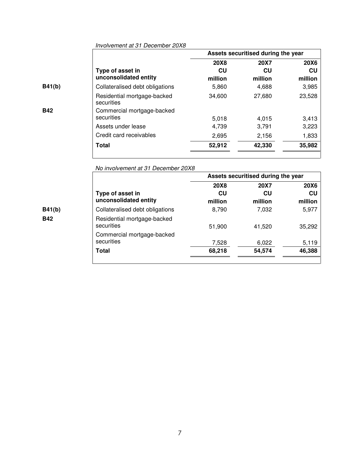|            |                                           | Assets securitised during the year |             |             |
|------------|-------------------------------------------|------------------------------------|-------------|-------------|
|            |                                           | 20X8                               | <b>20X7</b> | <b>20X6</b> |
|            | Type of asset in                          | CU                                 | CU          | CU          |
|            | unconsolidated entity                     | million                            | million     | million     |
| B41(b)     | Collateralised debt obligations           | 5,860                              | 4,688       | 3,985       |
|            | Residential mortgage-backed<br>securities | 34,600                             | 27,680      | 23,528      |
| <b>B42</b> | Commercial mortgage-backed                |                                    |             |             |
|            | securities                                | 5.018                              | 4,015       | 3,413       |
|            | Assets under lease                        | 4,739                              | 3,791       | 3,223       |
|            | Credit card receivables                   | 2,695                              | 2,156       | 1,833       |
|            | Total                                     | 52,912                             | 42,330      | 35,982      |
|            |                                           |                                    |             |             |

٦

Involvement at 31 December 20X8

No involvement at 31 December 20X8

|            |                                           |             | Assets securitised during the year |             |
|------------|-------------------------------------------|-------------|------------------------------------|-------------|
|            |                                           | <b>20X8</b> | <b>20X7</b>                        | <b>20X6</b> |
|            | Type of asset in                          | CU          | CU                                 | CU          |
|            | unconsolidated entity                     | million     | million                            | million     |
| B41(b)     | Collateralised debt obligations           | 8,790       | 7,032                              | 5,977       |
| <b>B42</b> | Residential mortgage-backed<br>securities | 51,900      | 41,520                             | 35,292      |
|            | Commercial mortgage-backed<br>securities  | 7,528       | 6,022                              | 5,119       |
|            | Total                                     | 68,218      | 54,574                             | 46,388      |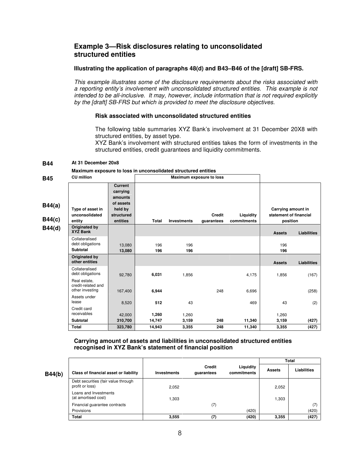## **Example 3—Risk disclosures relating to unconsolidated structured entities**

#### **Illustrating the application of paragraphs 48(d) and B43–B46 of the [draft] SB-FRS.**

This example illustrates some of the disclosure requirements about the risks associated with a reporting entity's involvement with unconsolidated structured entities. This example is not intended to be all-inclusive. It may, however, include information that is not required explicitly by the [draft] SB-FRS but which is provided to meet the disclosure objectives.

#### **Risk associated with unconsolidated structured entities**

The following table summaries XYZ Bank's involvement at 31 December 20X8 with structured entities, by asset type.

XYZ Bank's involvement with structured entities takes the form of investments in the structured entities, credit guarantees and liquidity commitments.

#### **B44 At 31 December 20x8**

**Maximum exposure to loss in unconsolidated structured entities** 

| R45 |  |  |
|-----|--|--|

| <b>B45</b>       | <b>CU</b> million                                     |                                                                             |              |                    | Maximum exposure to loss |             |                                              |                    |
|------------------|-------------------------------------------------------|-----------------------------------------------------------------------------|--------------|--------------------|--------------------------|-------------|----------------------------------------------|--------------------|
| B44(a)<br>B44(c) | Type of asset in<br>unconsolidated                    | <b>Current</b><br>carrying<br>amounts<br>of assets<br>held by<br>structured |              |                    | <b>Credit</b>            | Liquidity   | Carrying amount in<br>statement of financial |                    |
|                  | entity                                                | entities                                                                    | <b>Total</b> | <b>Investments</b> | guarantees               | commitments | position                                     |                    |
| B44(d)           | Originated by<br><b>XYZ Bank</b>                      |                                                                             |              |                    |                          |             | <b>Assets</b>                                | <b>Liabilities</b> |
|                  | Collateralised<br>debt obligations<br>Subtotal        | 13,080<br>13,080                                                            | 196<br>196   | 196<br>196         |                          |             | 196<br>196                                   |                    |
|                  | Originated by<br>other entities                       |                                                                             |              |                    |                          |             | <b>Assets</b>                                | <b>Liabilities</b> |
|                  | Collateralised<br>debt obligations                    | 92,780                                                                      | 6,031        | 1,856              |                          | 4,175       | 1,856                                        | (167)              |
|                  | Real estate,<br>credit-related and<br>other investing | 167,400                                                                     | 6,944        |                    | 248                      | 6,696       |                                              | (258)              |
|                  | Assets under<br>lease                                 | 8,520                                                                       | 512          | 43                 |                          | 469         | 43                                           | (2)                |
|                  | Credit card<br>receivables                            | 42,000                                                                      | 1,260        | 1,260              |                          |             | 1,260                                        |                    |
|                  | <b>Subtotal</b>                                       | 310,700                                                                     | 14,747       | 3,159              | 248                      | 11,340      | 3,159                                        | (427)              |
|                  | <b>Total</b>                                          | 323,780                                                                     | 14,943       | 3,355              | 248                      | 11,340      | 3,355                                        | (427)              |

#### **Carrying amount of assets and liabilities in unconsolidated structured entities recognised in XYZ Bank's statement of financial position**

|        |                                                        |             |                      |                          | <b>Total</b>  |             |
|--------|--------------------------------------------------------|-------------|----------------------|--------------------------|---------------|-------------|
| B44(b) | Class of financial asset or liability                  | Investments | Credit<br>quarantees | Liquidity<br>commitments | <b>Assets</b> | Liabilities |
|        | Debt securities (fair value through<br>profit or loss) | 2,052       |                      |                          | 2,052         |             |
|        | Loans and Investments<br>(at amortised cost)           | 1,303       |                      |                          | 1,303         |             |
|        | Financial guarantee contracts                          |             | (7)                  |                          |               |             |
|        | Provisions                                             |             |                      | (420)                    |               | (420)       |
|        | <b>Total</b>                                           | 3,555       | (7)                  | (420)                    | 3,355         | (427)       |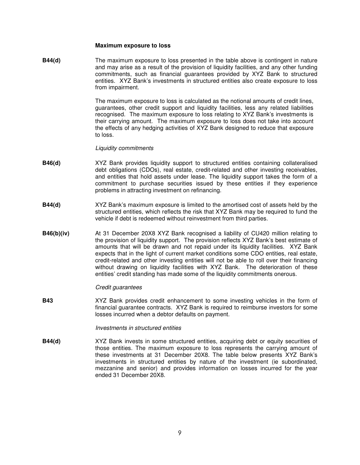#### **Maximum exposure to loss**

**B44(d)** The maximum exposure to loss presented in the table above is contingent in nature and may arise as a result of the provision of liquidity facilities, and any other funding commitments, such as financial guarantees provided by XYZ Bank to structured entities. XYZ Bank's investments in structured entities also create exposure to loss from impairment.

> The maximum exposure to loss is calculated as the notional amounts of credit lines, guarantees, other credit support and liquidity facilities, less any related liabilities recognised. The maximum exposure to loss relating to XYZ Bank's investments is their carrying amount. The maximum exposure to loss does not take into account the effects of any hedging activities of XYZ Bank designed to reduce that exposure to loss.

#### Liquidity commitments

- **B46(d)** XYZ Bank provides liquidity support to structured entities containing collateralised debt obligations (CDOs), real estate, credit-related and other investing receivables, and entities that hold assets under lease. The liquidity support takes the form of a commitment to purchase securities issued by these entities if they experience problems in attracting investment on refinancing.
- **B44(d)** XYZ Bank's maximum exposure is limited to the amortised cost of assets held by the structured entities, which reflects the risk that XYZ Bank may be required to fund the vehicle if debt is redeemed without reinvestment from third parties.
- **B46(b)(iv)** At 31 December 20X8 XYZ Bank recognised a liability of CU420 million relating to the provision of liquidity support. The provision reflects XYZ Bank's best estimate of amounts that will be drawn and not repaid under its liquidity facilities. XYZ Bank expects that in the light of current market conditions some CDO entities, real estate, credit-related and other investing entities will not be able to roll over their financing without drawing on liquidity facilities with XYZ Bank. The deterioration of these entities' credit standing has made some of the liquidity commitments onerous.

#### Credit guarantees

**B43** XYZ Bank provides credit enhancement to some investing vehicles in the form of financial guarantee contracts. XYZ Bank is required to reimburse investors for some losses incurred when a debtor defaults on payment.

#### Investments in structured entities

**B44(d)** XYZ Bank invests in some structured entities, acquiring debt or equity securities of those entities. The maximum exposure to loss represents the carrying amount of these investments at 31 December 20X8. The table below presents XYZ Bank's investments in structured entities by nature of the investment (ie subordinated, mezzanine and senior) and provides information on losses incurred for the year ended 31 December 20X8.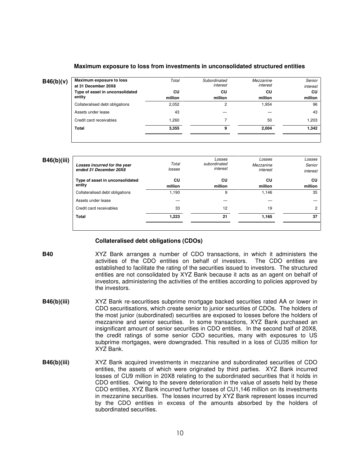#### **Maximum exposure to loss from investments in unconsolidated structured entities**

| B46(b)(v) | Maximum exposure to loss<br>at 31 December 20X8 | Total   | Subordinated<br>interest | Mezzanine<br>interest | Senior<br>interest |
|-----------|-------------------------------------------------|---------|--------------------------|-----------------------|--------------------|
|           | Type of asset in unconsolidated                 | CU      | СU                       | СU                    | CU                 |
|           | entity                                          | million | million                  | million               | million            |
|           | Collateralised debt obligations                 | 2,052   |                          | 1.954                 | 96                 |
|           | Assets under lease                              | 43      |                          |                       | 43                 |
|           | Credit card receivables                         | .260    |                          | 50                    | 1.203              |
|           | Total                                           | 3,355   |                          | 2.004                 | 1.342              |
|           |                                                 |         |                          |                       |                    |

#### **B46(b)(iii)**

| Losses incurred for the year<br>ended 31 December 20X8 | Total<br>losses | Losses<br>subordinated<br>interest | Losses<br>Mezzanine<br>interest | Losses<br>Senior<br>interest |
|--------------------------------------------------------|-----------------|------------------------------------|---------------------------------|------------------------------|
| Type of asset in unconsolidated<br>entity              | CU<br>million   | CU<br>million                      | CU<br>million                   | CU<br>million                |
| Collateralised debt obligations                        | 1,190           | 9                                  | 1,146                           | 35                           |
| Assets under lease                                     |                 |                                    |                                 |                              |
| Credit card receivables                                | 33              | 12                                 | 19                              | 2                            |
| Total                                                  | 1.223           | 21                                 | 1,165                           | 37                           |
|                                                        |                 |                                    |                                 |                              |

#### **Collateralised debt obligations (CDOs)**

**B40** XYZ Bank arranges a number of CDO transactions, in which it administers the activities of the CDO entities on behalf of investors. established to facilitate the rating of the securities issued to investors. The structured entities are not consolidated by XYZ Bank because it acts as an agent on behalf of investors, administering the activities of the entities according to policies approved by the investors.

- **B46(b)(iii)** XYZ Bank re-securitises subprime mortgage backed securities rated AA or lower in CDO securitisations, which create senior to junior securities of CDOs. The holders of the most junior (subordinated) securities are exposed to losses before the holders of mezzanine and senior securities. In some transactions, XYZ Bank purchased an insignificant amount of senior securities in CDO entities. In the second half of 20X8, the credit ratings of some senior CDO securities, many with exposures to US subprime mortgages, were downgraded. This resulted in a loss of CU35 million for XYZ Bank.
- **B46(b)(iii)** XYZ Bank acquired investments in mezzanine and subordinated securities of CDO entities, the assets of which were originated by third parties. XYZ Bank incurred losses of CU9 million in 20X8 relating to the subordinated securities that it holds in CDO entities. Owing to the severe deterioration in the value of assets held by these CDO entities, XYZ Bank incurred further losses of CU1,146 million on its investments in mezzanine securities. The losses incurred by XYZ Bank represent losses incurred by the CDO entities in excess of the amounts absorbed by the holders of subordinated securities.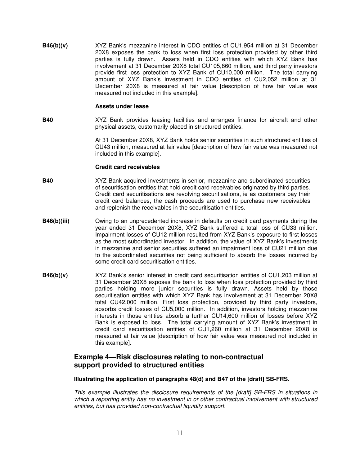**B46(b)(v)** XYZ Bank's mezzanine interest in CDO entities of CU1,954 million at 31 December 20X8 exposes the bank to loss when first loss protection provided by other third parties is fully drawn. Assets held in CDO entities with which XYZ Bank has involvement at 31 December 20X8 total CU105,860 million, and third party investors provide first loss protection to XYZ Bank of CU10,000 million. The total carrying amount of XYZ Bank's investment in CDO entities of CU2,052 million at 31 December 20X8 is measured at fair value [description of how fair value was measured not included in this example].

#### **Assets under lease**

**B40** XYZ Bank provides leasing facilities and arranges finance for aircraft and other physical assets, customarily placed in structured entities.

> At 31 December 20X8, XYZ Bank holds senior securities in such structured entities of CU43 million, measured at fair value [description of how fair value was measured not included in this example].

#### **Credit card receivables**

- **B40** XYZ Bank acquired investments in senior, mezzanine and subordinated securities of securitisation entities that hold credit card receivables originated by third parties. Credit card securitisations are revolving securitisations, ie as customers pay their credit card balances, the cash proceeds are used to purchase new receivables and replenish the receivables in the securitisation entities.
- **B46(b)(iii) Commundent** Owing to an unprecedented increase in defaults on credit card payments during the year ended 31 December 20X8, XYZ Bank suffered a total loss of CU33 million. Impairment losses of CU12 million resulted from XYZ Bank's exposure to first losses as the most subordinated investor. In addition, the value of XYZ Bank's investments in mezzanine and senior securities suffered an impairment loss of CU21 million due to the subordinated securities not being sufficient to absorb the losses incurred by some credit card securitisation entities.
- **B46(b)(v)** XYZ Bank's senior interest in credit card securitisation entities of CU1,203 million at 31 December 20X8 exposes the bank to loss when loss protection provided by third parties holding more junior securities is fully drawn. Assets held by those securitisation entities with which XYZ Bank has involvement at 31 December 20X8 total CU42,000 million. First loss protection, provided by third party investors, absorbs credit losses of CU5,000 million. In addition, investors holding mezzanine interests in those entities absorb a further CU14,600 million of losses before XYZ Bank is exposed to loss. The total carrying amount of XYZ Bank's investment in credit card securitisation entities of CU1,260 million at 31 December 20X8 is measured at fair value [description of how fair value was measured not included in this example].

### **Example 4—Risk disclosures relating to non-contractual support provided to structured entities**

#### **Illustrating the application of paragraphs 48(d) and B47 of the [draft] SB-FRS.**

This example illustrates the disclosure requirements of the [draft] SB-FRS in situations in which a reporting entity has no investment in or other contractual involvement with structured entities, but has provided non-contractual liquidity support.